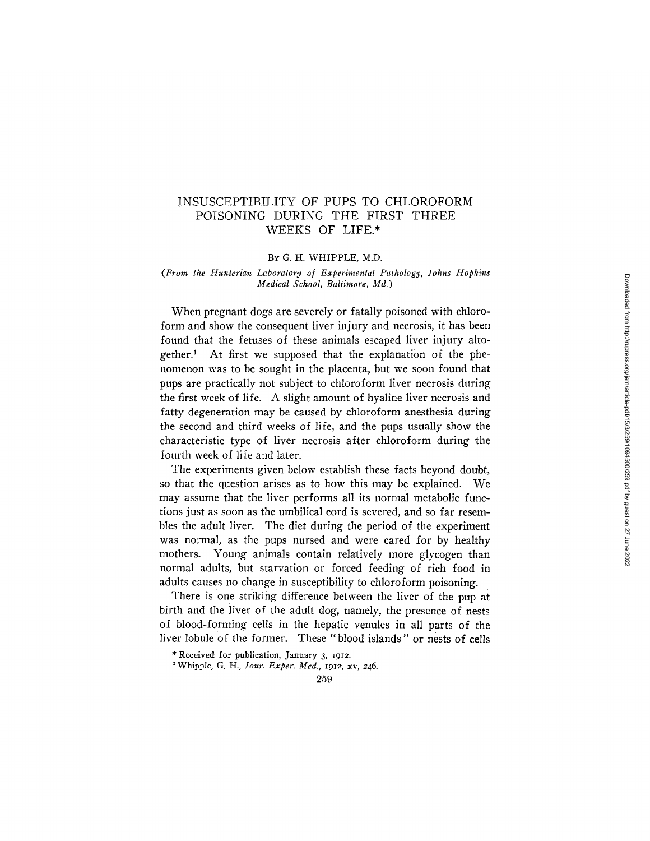# INSUSCEPTIBILITY OF PUPS TO CHLOROFORM POISONING DURING THE FIRST THREE WEEKS OF LIFE.\*

#### BY G. H. WHIPPLE, M.D.

#### *(From the Hunterian Laboratory of Experimental Pathology, Johns Hopkins Medical School, Baltimore, Md.)*

When pregnant dogs are severely or fatally poisoned with chloroform and show the consequent liver injury and necrosis, it has been found that the fetuses of these animals escaped liver injury altogether.<sup>1</sup> At first we supposed that the explanation of the phenomenon was to be sought in the placenta, but we soon found that pups are practically not subject to chloroform liver necrosis during the first week of life. A slight amount of hyaline liver necrosis and fatty degeneration may be caused by chloroform anesthesia during the second and third weeks of life, and the pups usually show the characteristic type of liver necrosis after chloroform during the fourth week of life and later.

The experiments given below establish these facts beyond doubt, so that the question arises as to how this may be explained. We may assume that the liver performs all its normal metabolic functions just as soon as the umbilical cord is severed, and so far resembles the adult liver. The diet during the period of the experiment was normal, as the pups nursed and were cared for by healthy mothers. Young animals contain relatively more glycogen than normal adults, but starvation or forced feeding of rich food in adults causes no change in susceptibility to chloroform poisoning.

There is one striking difference between the liver of the pup at birth and the liver of the adult dog, namely, the presence of nests of blood-forming cells in the hepatic venules in all parts of the liver lobule of the former. These "blood islands" or nests of cells

1 Whipple, G. H., *Your. Exper. Med., 1912,* xv, 246.

<sup>\*</sup> Received for publication, January 3, I912.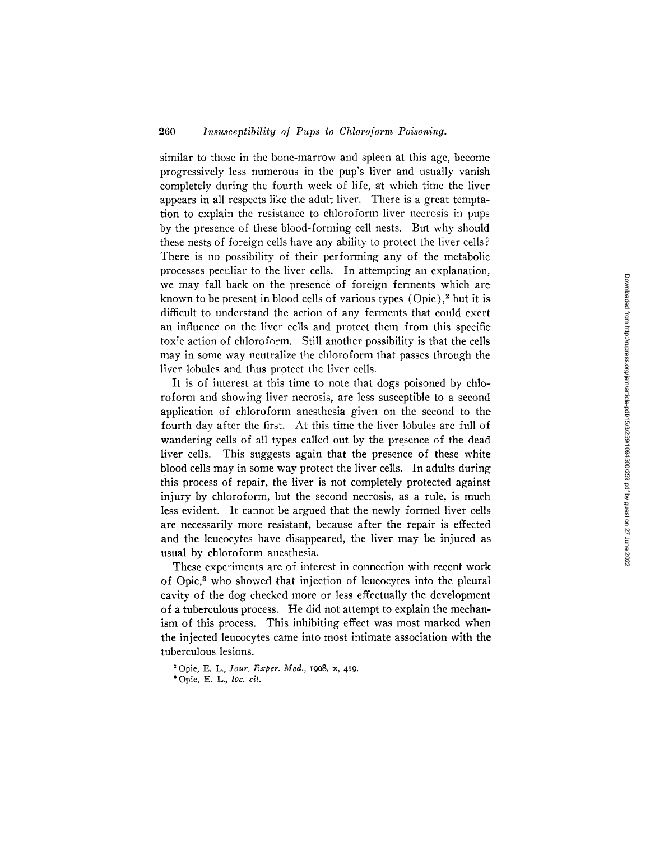## 260 *Insusceptibility of Pups to Chloroform Poisoning.*

similar to those in the bone-marrow and spleen at this age, become progressively less numerous in the pup's liver and usually vanish completely during the fourth week of life, at which time the liver appears in all respects like the adult liver. There is a great temptation to explain the resistance to chloroform liver necrosis in pups by the presence of these blood-forming cell nests. But why should these nests of foreign cells have any ability to protect the liver cells ? There is no possibility of their performing any of the metabolic processes peculiar to the liver cells. In attempting an explanation, we may fall back on the presence of foreign ferments which are known to be present in blood cells of various types  $(\text{Opie})$ ,<sup>2</sup> but it is difficult to understand the action of any ferments that could exert an influence on the liver cells and protect them from this specific toxic action of chloroform. Still another possibility is that the cells may in some way neutralize the chloroform that passes through the liver lobules and thus protect the liver cells.

It is of interest at this time to note that dogs poisoned by chloroform and showing liver necrosis, are less susceptible to a second application of chloroform anesthesia given on the second to the fourth day after the first. At this time the liver lobules are full of wandering cells of all types called out by the presence of the dead liver cells. This suggests again that the presence of these white blood cells may in some way protect the liver cells. In adults during this process of repair, the liver is not completely protected against injury by chloroform, but the second necrosis, as a rule, is much less evident. It cannot be argued that the newly formed liver cells are necessarily more resistant, because after the repair is effected and the leucocytes have disappeared, the liver may be injured as usual by chloroform anesthesia.

These experiments are of interest in connection with recent work of Opie,<sup>3</sup> who showed that injection of leucocytes into the pleural cavity of the dog checked more or less effectually the development of a tuberculous process. He did not attempt to explain the mechanism of this process. This inhibiting effect was most marked when the injected leucocytes came into most intimate association with the tuberculous lesions.

<sup>\*</sup> Opie, E. L., *Your. Exper. Med., 19o8,* x, 419.

<sup>80</sup>pie, E. L., *loc. cit.*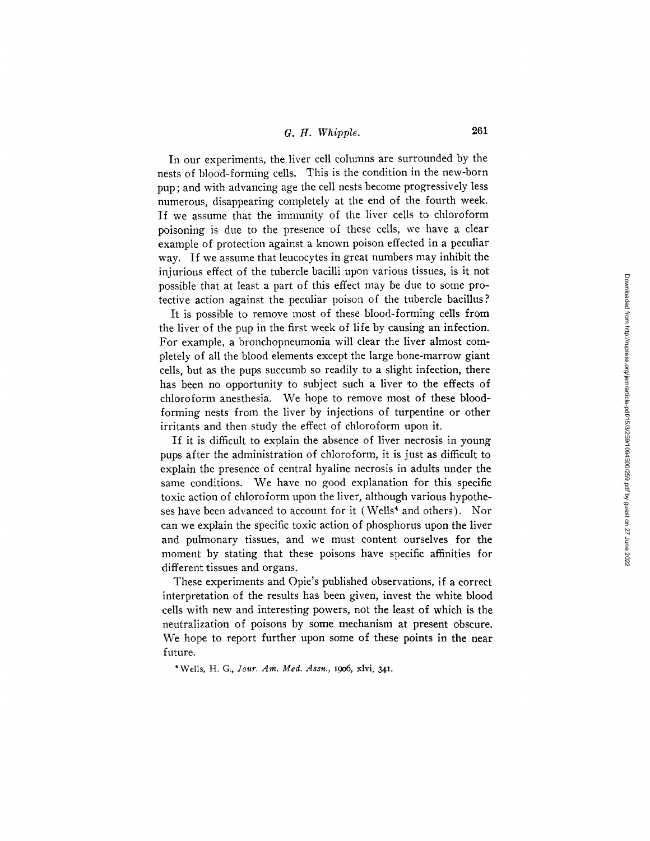# *G. H. Whipple.* 261

In our experiments, the liver cell columns are surrounded by the nests of blood-forming cells. This is the condition in the new-born pup; and with advancing age the cell nests become progressively less numerous, disappearing completely at the end of the fourth week. If we assume that the immunity of the liver cells to chloroform poisoning is due to the presence of these cells, we have a clear example of protection against a known poison effected in a peculiar way. If we assume that leucocytes in great numbers may inhibit the injurious effect of the tubercle bacilli upon various tissues, is it not possible that at least a part of this effect may be due to some protective action against the peculiar poison of the tubercle bacillus ?

It is possible to remove most of these blood-forming cells from the liver of the pup in the first week of life by causing an infection. For example, a bronchopneumonia will clear the liver almost completely of all the blood elements except the large bone-marrow giant cells, but as the pups succumb so readily to a slight infection, there has been no opportunity to subject such a liver to the effects of chloroform anesthesia. We hope to remove most of these bloodforming nests from the liver by injections of turpentine or other irritants and then study the effect of chloroform upon it.

If it is difficult to explain the absence of liver necrosis in young pups after the administration of chloroform, it is just as difficult to explain the presence of central hyaline necrosis in adults under the same conditions. We have no good explanation for this specific toxic action of chloroform upon the liver, although various hypotheses have been advanced to account for it (Wells<sup>4</sup> and others). Nor can we explain the specific toxic action of phosphorus upon the liver and pulmonary tissues, and we must content ourselves for the moment by stating that these poisons have specific affinities for different tissues and organs.

These experiments and Opie's published observations, if a correct interpretation of the results has been given, invest the white blood cells with new and interesting powers, not the least of which is the neutralization of poisons by some mechanism at present obscure. We hope to report further upon some of these points in the near future.

Wells, H. G., *Jour. Am. Med. Assn., 19o6,* xlvi, 341.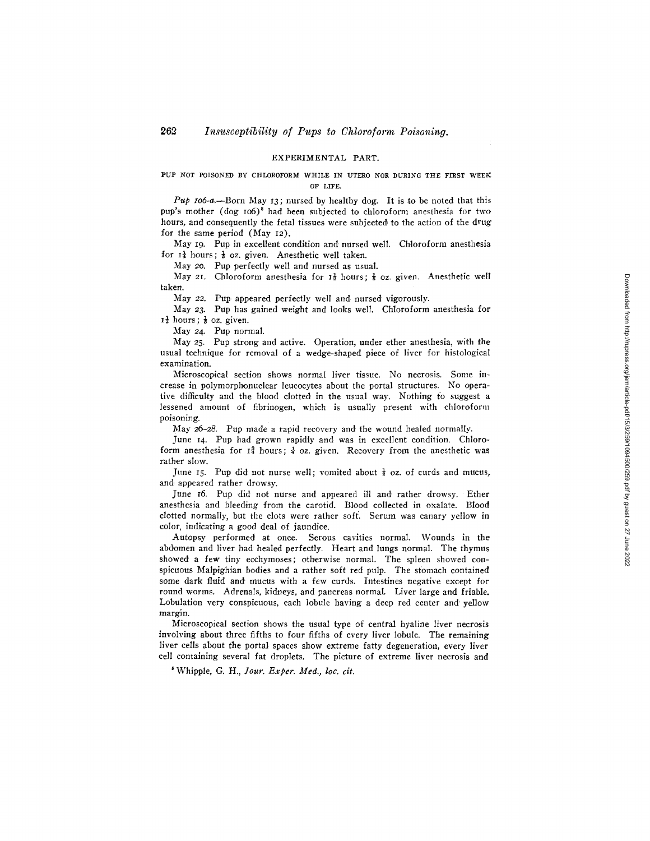### EXPERIMENTAL PART.

#### PUP NOT POISONED BY CHLOROFORM WHILE IN UTERO NOR DURING THE FIRST WEEK OF LIFE.

*Pup 106-a.*—Born May 13; nursed by healthy dog. It is to be noted that this pup's mother (dog 106)<sup>5</sup> had been subjected to chloroform anesthesia for two hours, and consequently the fetal tissues were subjected to the action of the drug for the same period (May I2).

May I9. Pup in excellent condition and nursed well. Chloroform anesthesia for  $I_4$  hours;  $\frac{1}{2}$  oz. given. Anesthetic well taken.

May 2o. Pup perfectly well and nursed as usual.

May 21. Chloroform anesthesia for  $I_2^1$  hours;  $\frac{1}{5}$  oz. given. Anesthetic well taken.

May 22. Pup appeared perfectly well and nursed vigorously.

May 23. Pup has gained weight and looks well. Chloroform anesthesia for  $1\frac{1}{2}$  hours;  $\frac{1}{2}$  oz. given.

May 24. Pup normal.

May 25. Pup strong and active. Operation, under ether anesihesia, with the usual technique for removal of a wedge-shaped piece of liver for histological examination.

Microscopical section shows normal liver tissue. No necrosis. Some increase in polymorphonuclear leucocytes about the portal structures. No operative difficulty and the blood clotted in the usual way. Nothing io suggest a lessened amount of fibrinogen, which is usually present with chloroform poisoning.

May *26-28.* Pup made a rapid recovery and the wound healed normally.

June I4. Pup had grown rapidly and was in excellent condition. Chloroform anesthesia for  $I_4^3$  hours;  $\frac{1}{4}$  oz. given. Recovery from the anesthetic was rather slow.

June I5. Pup did not nurse well; vomited about ½ oz. of curds and mucus, and appeared rather drowsy.

June T6. Pup did not nurse and appeared ill and rather drowsy. Ether anesthesia and bleeding from the carotid. Blood collected in oxalate. Blood clotted normally, but the clots were rather sofi. Serum was canary yellow in color, indicating a good deal of jaundice.

Autopsy performed at once. Serous cavities normal. Wounds in the abdomen and liver had healed perfectly. Heart and lungs normal. The thymus showed a few tiny ecchymoses; otherwise normal. The spleen showed conspicuous Malpighian bodies and a rather soft red pulp. The stomach contained some dark fluid and' mucus with a few curds. Intestines negative except for round worms. Adrenals, kidneys, and pancreas normal. Liver large and friable. Lobulation very conspicuous, each lobnle having a deep red center and yellow margin.

Microscopical section shows the usual type of central hyaline liver necrosis involving about three fifths to four fifths of every liver lobule. The remaining liver cells about the portal spaces show extreme fatty degeneration, every liver cell containing several fat droplets. The picture of extreme liver necrosis and

Whipple, G. H., *]our. E.vper. Med., loc. cir.*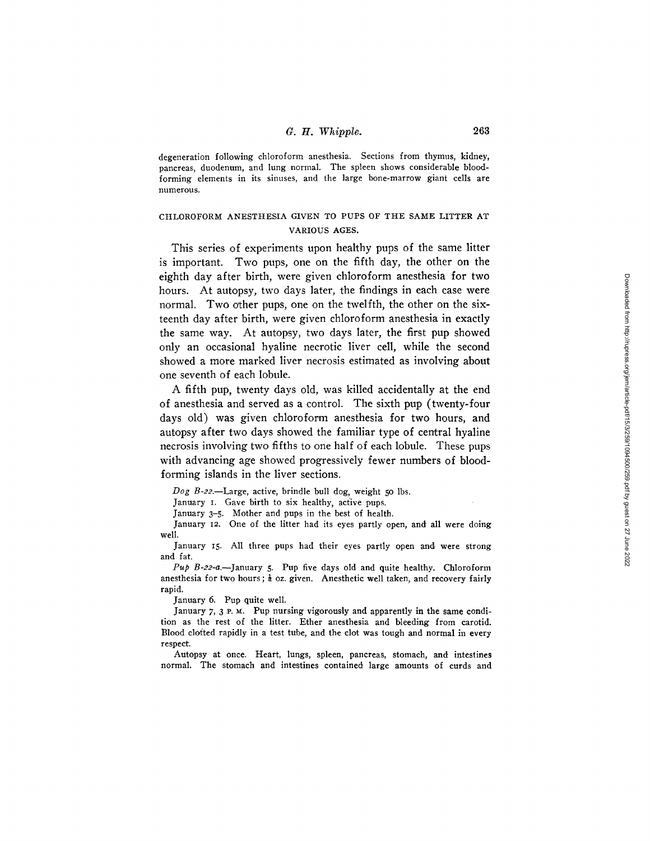degeneration following chloroform anesthesia. Sections from thymus, kidney, pancreas, duodenum, and lung normal. The spleen shows considerable bloodforming elements in its sinuses, and the large bone-marrow giant ceils are numerous.

# CHLOROFORM ANESTHESIA GIVEN TO PUPS OF THE SAME LITTER AT VARIOUS AGES.

This series of experiments upon healthy pups of the same litter is important. Two pups, one on the fifth day, the other on the eighth day after birth, were given chloroform anesthesia for two hours. At autopsy, two days later, the findings in each case were normal. Two other pups, one on the twelfth, the other on the sixteenth day after birth, were given chloroform anesthesia in exactly the same way. At autopsy, two days later, the first pup showed only an occasional hyaline necrotic liver cell, while the second showed a more marked liver necrosis estimated as involving about one seventh of each lobule.

A fifth pup, twenty days old, was killed accidentally at the end of anesthesia and served as a control. The sixth pup (twenty-four days old) was given chloroform anesthesia for two hours, and autopsy after two days showed the familiar type of central hyaline necrosis involving two fifths to one half of each lobule. These pups with advancing age showed progressively fewer numbers of bloodforming islands in the liver sections.

*Dog B-22.--Large,* active, brindle bull dog, weight 5o lbs.

January I. Gave birth to six healthy, active pups.

January 3-5. Mother and pups in the best of health.

January 12. One of the litter had its eyes partly open, and all were doing well

January 15. All three pups had their eyes partly open and were strong and fat.

*Pup B-22-a.--January* 5. Pup five days old and quite healthy. Chloroform anesthesia for two hours;  $\frac{1}{6}$  oz. given. Anesthetic well taken, and recovery fairly rapid.

January 6. Pup quite well.

January 7, 3 P.M. Pup nursing vigorously and apparently in the same condition as the rest of the litter. Ether anesthesia and bleeding from carotid. Blood clotted rapidly in a test tube, and the clot was tough and normal in every respect.

Autopsy at once. Heart, lungs, spleen, pancreas, stomach, and intestines normal. The stomach and intestines contained large amounts of curds and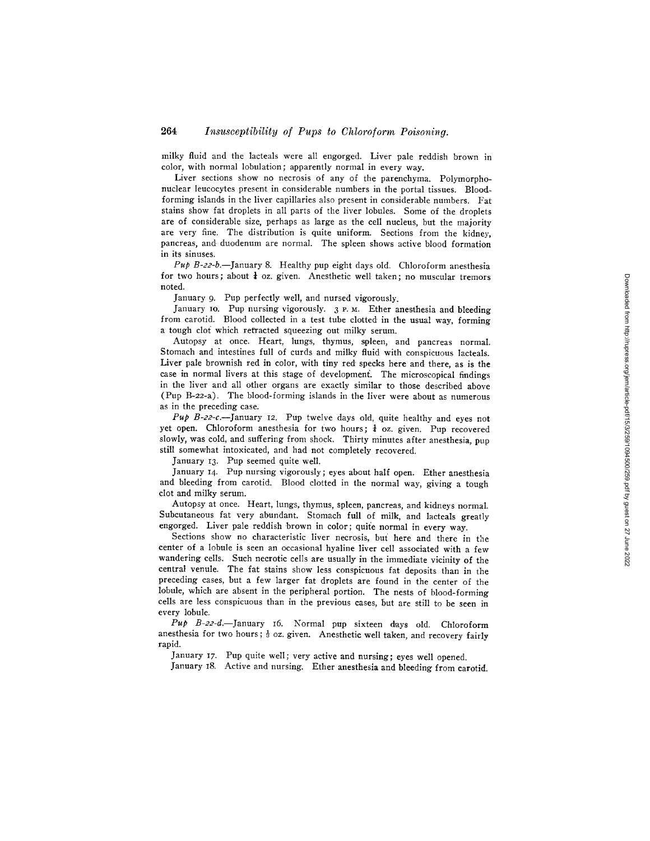milky fluid and the lacteals were all engorged. Liver pale reddish brown in color, with normal lobulation; apparently normal in every way.

Liver sections show no necrosis of any of the parenchyma. Polymorphonuclear leucocytes present in considerable numbers in the portal tissues. Bloodforming islands in the liver capillaries also present in considerable numbers. Fat stains show fat droplets in all parts of the liver lobules. Some of the droplets are of considerable size, perhaps as large as the cell nucleus, but the majority are very fine. The distribution is quite uniform. Sections from the kidney, pancreas, and duodenum are normal. The spleen shows active blood formation in its sinuses.

*Pup B-22-b.--January* 8. Healthy pup eight days old. Chloroform anesthesia for two hours; about  $\frac{1}{4}$  oz. given. Anesthetic well taken; no muscular tremors noted.

January 9. Pup perfectly well, and nursed vigorously.

January 10. Pup nursing vigorously. 3 P.M. Ether anesthesia and bleeding from carotid. Blood collected in a test tube clotted in the usual way, forming a tough clot which refracted squeezing out milky serum.

Autopsy at once. Heart, lungs, thymus, spleen, and pancreas normal. Stomach and intestines full of curds and milky fluid with conspicuous lacteals. Liver pale brownish red in color, with tiny red specks here and there, as is the case in normal livers at this stage of development. The microscopical findings in the liver and all other organs are exactly similar to those described above (Pup B-22-a). The blood-forming islands in the liver were about as numerous as in the preceding case.

*Pup B-22-c.--January* I2. Pup twelve days old, quite healthy and eyes not yet open. Chloroform anesthesia for two hours;  $\frac{1}{4}$  oz. given. Pup recovered slowly, was cold, and suffering from shock. Thirty minutes after anesthesia, pup still somewhat intoxicated, and had not completely recovered.

January I3. Pup seemed quite well.

January I4. Pup nursing vigorously; eyes about half open. Ether anesthesia and bleeding from carotid. Blood clotted in the normal way, giving a tough clot and milky serum.

Autopsy at once. Heart, lungs, thymus, spleen, pancreas, and kidneys normal. Subcutaneous fat very abundant. Stomach full of milk, and lacteals greatly engorged. Liver pale reddish brown in color; quite normal in every way.

Sections show no characteristic liver necrosis, but here and there in the center of a lobule is seen an occasional hyaline liver cell associated with a few wandering cells. Such necrotic cells are usually in the immediate vicinity of the central venule. The fat stains show less conspicuous fat deposits than in the preceding cases, but a few larger fat droplets are found in the center of the lobule, which are absent in the peripheral portion. The nests of blood-forming cells are less conspicuous than in the previous eases, but are still to be seen in every lobule.

*Pup* B-zz-d.--January I6. Normal pup sixteen days old. Chloroform anesthesia for two hours;  $\frac{1}{3}$  oz. given. Anesthetic well taken, and recovery fairly rapid.

January I7. Pup quite well; very active and nursing; eyes well opened.

January I8. Active and nursing. Ether anesthesia and bleeding from carotid.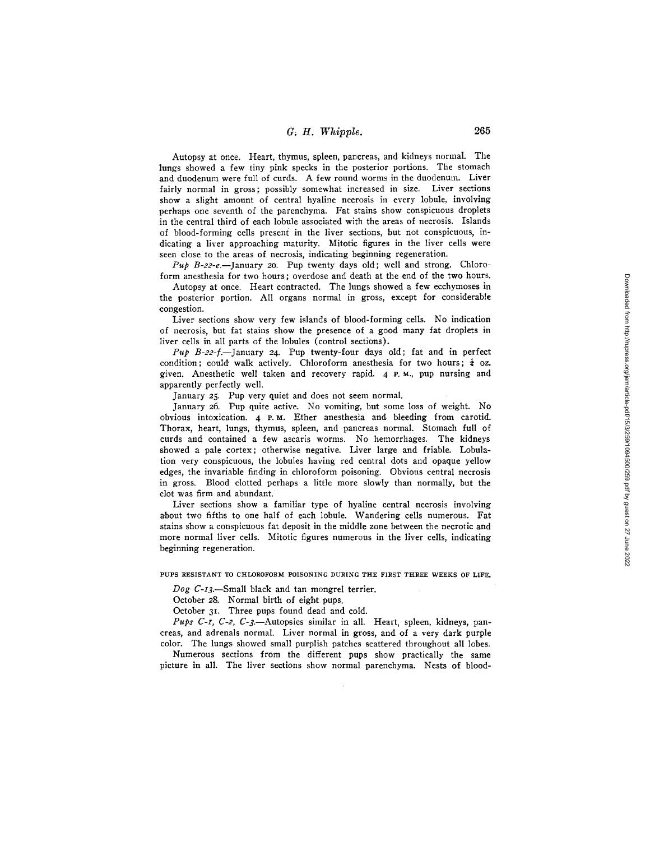Autopsy at once. Heart, thymus, spleen, pancreas, and kidneys normal. The lungs showed a few tiny pink specks in the posterior portions. The stomach and duodenum were full of curds. A few round worms in the duodenum. Liver fairly normal in gross; possibly somewhat increased in size. Liver sections show a slight amount of central hyaline necrosis in every lobule, involving perhaps one seventh of the parenchyma. Fat stains show conspicuous droplets in the central third of each lobule associated with the areas of necrosis. Islands of blood-forming cells preseni in the liver sections, but not conspicuous, indicating a liver approaching maturity. Mitotic figures in the liver cells were seen close to the areas of necrosis, indicating beginning regeneration.

Pup B-22-e.--January 20. Pup twenty days old; well and strong. Chloroform anesthesia for two hours; overdose and death at the end of the two hours.

Autopsy at once. Heart contracted. The lungs showed a few ecchymoses in the posterior portion. All organs normal in gross, except for considerable congestion.

Liver sections show very few islands of blood-forming ceils. No indication of necrosis, but fat stains show the presence of a good many fat droplets in liver cells in all parts of the lobules (control sections).

Pup B-22-f.--January 24. Pup twenty-four days old; fat and in perfect condition; could walk actively. Chloroform anesthesia for two hours;  $\frac{1}{4}$  oz. given. Anesthetic well taken and recovery rapid. 4 P.M., pup nursing and apparently perfectly well.

January 25. Pup very quiet and does not seem normal.

January 26. Pup quite active. No vomiting, but some loss of weight. No obvious intoxication. 4 P-M. Ether anesthesia and bleeding from carotid. Thorax, heart, lungs, thymus, spleen, and pancreas normal. Stomach full of curds and contained a few ascaris worms. No hemorrhages. The kidneys showed a pale cortex; otherwise negative. Liver large and friable. Lobulation very conspicuous, the lobules having red central dots and opaque yellow edges, the invariable finding in chloroform poisoning. Obvious central necrosis in gross. Blood clotted perhaps a little more slowly than normally, but the clot was firm and abundant.

Liver sections show a familiar type of hyaline central necrosis involving about two fifths to one half of each lobule. Wandering cells numerous. Fat stains show a conspicuous fat deposit in the middle zone between the necrotic and more normal liver cells. Mitotic figures numerous in the liver cells, indicating beginning regeneration.

PUPS RESISTANT TO CHLOROFORM POISONING DURING THE FIRST THREE WEEKS OF LIFE.

*Dog C-z3.--Small* black and tan mongrel terrier.

October 28. Normal birth of eight pups.

October 3I. Three pups found dead and cold.

*Pups C-r, C-e, C-3.--Autopsies* similar in all. Heart, spleen, kidneys, pancreas, and adrenals normal. Liver normal in gross, and of a very dark purple color. The lungs showed small purplish patches scattered throughout all lobes.

Numerous sections from the different pups show practically the same picture in all. The liver sections show normal parenchyma. Nests of blood-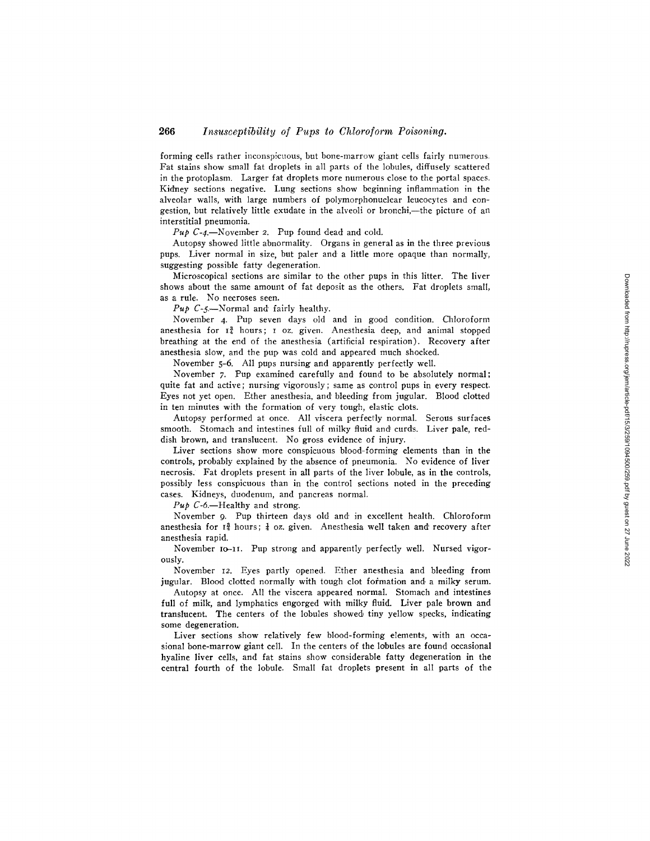forming cells rather inconspicuous, but bone-marrow giant ceils fairly numerous. Fat stains show small fat droplets in all parts of the lobules, diffusely scattered in the protoplasm. Larger fat droplets more numerous close to the portal spaces. Kidney sections negative. Lung sections show beginning inflammation in the alveolar walls, with large numbers of polymorphonuclear leucocytes and congestion, but relatively little exudate in the alveoli or bronchi,—the picture of an interstitial pneumonia.

*Pup C-4.--November* 2. Pup found dead and cold.

Autopsy showed little abnormality. Organs in general as in the three previous pups. Liver normal in size, but paler and a little more opaque than normally, suggesting possible fatty degeneration.

Microscopical sections are similar to the other pups in this litter. The liver shows about the same amount of fat deposit as the others. Eat droplets small, as a rule. No necroses seen.

Pup C-5.-Normal and fairly healthy.

November 4. Pup seven days old and in good condition. Chloroform anesthesia for  $I_4^2$  hours; I oz. given. Anesthesia deep, and animal stopped breathing at the end of the anesthesia (artificial respiration). Recovery after anesthesia slow, and the pup was cold and appeared much shocked.

November 5-6. All pups nursing and apparently perfectly well.

November 7. Pup examined carefully and found to be absolutely normal; quite fat and active; nursing vigorously; same as control pups in every respect. Eyes not yet open. Ether anesthesia, and' bleeding from jugular. Blood clotted in ten minutes with the formation of very tough, elastic clots.

Autopsy performed at once. All viscera perfectly normal. Serous surfaces smooth. Stomach and intestines full of milky fluid and curds. Liver pale, reddish brown, and translucent. No gross evidence of injury.

Liver sections show more conspicuous blood-forming elements than in the controls, probably explained by the absence of pneumonia. No evidence of liver necrosis. Fat droplets present in all parts of the liver lobule, as in the controls, possibly less conspicuous than in the control sections noted in the preceding cases. Kidneys, duodenum, and pancreas normal.

*Pup C-6.*—Healthy and strong.

November 9. Pup thirteen days old and' in excellent health. Chloroform anesthesia for  $I<sup>2</sup>$  hours;  $\frac{1}{4}$  oz. given. Anesthesia well taken and recovery after anesthesia rapid.

November IO-II. Pup strong and apparently perfectly well. Nursed vigorously.

November 12. Eyes partly opened. Ether anesthesia and bleeding from jugular. Blood clotted normally with tough clot formation and a milky serum.

Autopsy at once. All the viscera appeared normal. Stomach and intestines full of milk, and lymphatics engorged with milky fluid. Liver pale brown and translucent. The centers of the lobules showed tiny yellow specks, indicating some degeneration.

Liver sections show relatively few blood-forming elements, with an occasional bone-marrow giant cell. In the centers of the lobules are found occasional hyaline liver cells, and fat stains show considerable fatty degeneration in **the**  central fourth of the lobule. Small fat droplets present in all parts of the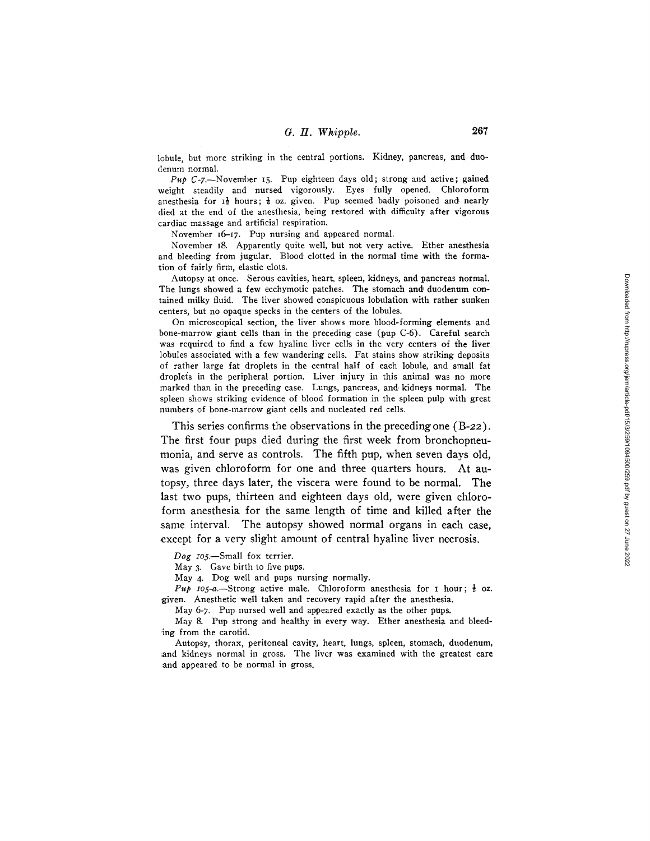lobule, but more striking in the central portions. Kidney, pancreas, and duodenum normal.

*Pup* C-7.--November 15. Pup eighteen days old; strong and active; gained weight steadily and nursed vigorously. Eyes fully opened. Chloroform anesthesia for  $I_2^1$  hours;  $\frac{1}{6}$  oz. given. Pup seemed badly poisoned and nearly died at the end of the anesthesia, being restored with difficulty after vigorous cardiac massage and artificial respiration.

November 16-17. Pup nursing and appeared normal.

November I8. Apparently quite well, but not very active. Ether anesthesia and bleeding from jugular. Blood clotted in the normal time with the formation of fairly firm, elastic clots.

Autopsy at once. Serous cavities, heart, spleen, kidneys, and pancreas normal. The lungs showed a few ecchymotic patches. The stomach and, duodenum contained milky fluid. The liver showed conspicuous lobulafion with rather sunken centers, but no opaque specks in the centers of the lobules.

On microscopical section, the liver shows more blood-forming elements and bone-marrow giant ceils than in the preceding case (pup C-6). Careful search was required to find a few hyaline liver cells in the very centers of the liver lobules associated with a few wandering cells. Fat stains show striking deposits of rather large fat droplets in the central half of each lobule, and small fat droplets in the peripheral portion. Liver injury in this animal was no more marked than in the preceding case. Lungs, pancreas, and' kidneys normal. The spleen shows striking evidence of blood formation in the spleen pulp with great numbers of bone-marrow giant cells and nucleated red cells.

This series confirms the observations in the preceding one (B-22). The first four pups died during the first week from bronchopneumonia, and serve as controls. The fifth pup, when seven days old, was given chloroform for one and three quarters hours. At autopsy, three days later, the viscera were found to be normal. The last two pups, thirteen and eighteen days old, were given chloroform anesthesia for the same length of time and killed after the same interval. The autopsy showed normal organs in each case, except for a very slight amount of central hyaline liver necrosis.

Dog 105.-Small fox terrier.

May 3. Gave birth to five pups.

May 4. Dog well and pups nursing normally.

*Pup 105-a.*-Strong active male. Chloroform anesthesia for I hour;  $\frac{1}{2}$  oz. given. Anesthetic well taken and recovery rapid after the anesthesia.

May 6-7. Pup nursed well and appeared exactly as the other pups.

May 8. Pup strong and healthy in every way. Ether anesthesia and bleeding from the carotid.

Autopsy, thorax, peritoneal cavity, heart, lungs, spleen, stomach, duodenum, :and kidneys normal in gross. The liver was examined with the greatest care .and appeared to be normal in gross.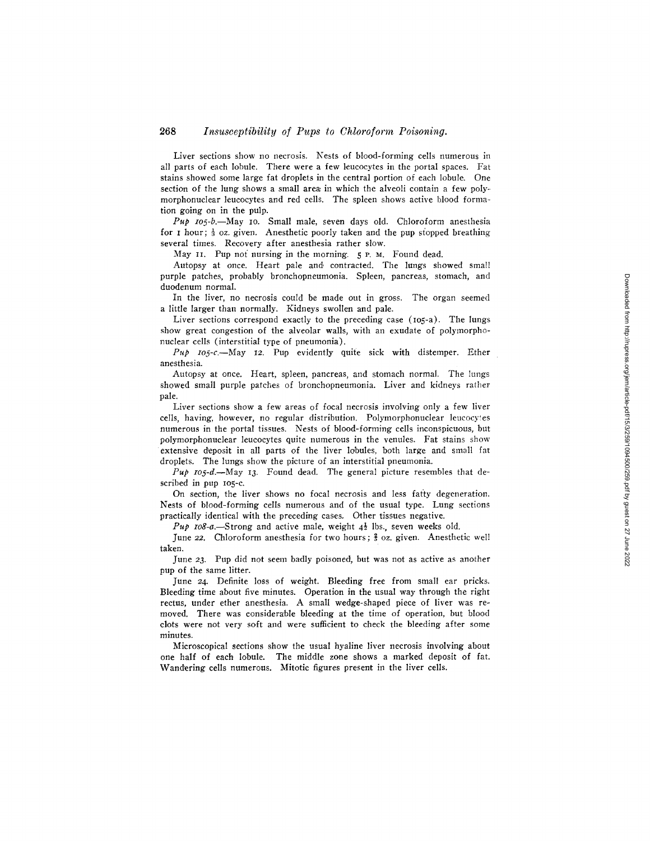### 268 *Insusceptibility of Pups to Chloroform Poisoning.*

Liver sections show no necrosis. Nests of blood-forming cells numerous in all parts of each lobule. There were a few leucocytes in the portal spaces. Fat stains showed some large fat droplets in the central portion of each lobule. One section of the lung shows a small area in which the alveoli contain a few polymorphonuclear leucocytes and red cells. The spleen shows active blood formation going on in the pulp.

*Pup zo5-b.--May* IO. Small male, seven days old. Chloroform anesthesia for I hour;  $\frac{1}{3}$  oz. given. Anesthetic poorly taken and the pup stopped breathing several times. Recovery after anesthesia rather slow.

May II. Pup not nursing in the morning. 5 P. M. Found dead.

Autopsy at once. Heart pale and contracted. The lungs showed small purple patches, probably bronchopneumonia. Spleen, pancreas, stomach, and duodenum normal.

In the liver, no necrosis could be made out in gross. The organ seemed a little larger than normally. Kidneys swollen and pale.

Liver sections correspond exactly to the preceding case ( $105-a$ ). The lungs show great congestion of the alveolar walls, with an exudate of polymorphonuclear cells (interstitial type of pneumonia).

*Pup zo5-c.--May* 12. Pup evidently quite sick with distemper. Ether anesthesia.

Autopsy at once. Heart, spleen, pancreas, and stomach normal. The lungs showed small purple patches of bronchopneumonia. Liver and kidneys rather pale.

Liver sections show a few areas of focal necrosis involving only a few liver cells, having, however, no regular distribution. Polymorphonuclear leucocytes numerous in the portal tissues. Nests of blood-forming cells inconspicuous, but polymorphonuclear leucocytes quite numerous in the venules. Fat stains show extensive deposit in all parts of the liver Iobules, both large and small fat droplets. The lungs show the picture of an interstitial pneumonia.

*Pup zo5-d.--May* 13. Found dead. The general picture resembles that described in pup 105-c.

On section, the liver shows no focal necrosis and less fatty degeneration. Nests of blood-forming ceils numerous and of the usual type. Lung sections practically identical with the preceding cases. Other tissues negative.

*Pup 108-a.*—Strong and active male, weight  $4\frac{1}{2}$  lbs., seven weeks old.

June 22. Chloroform anesthesia for two hours;  $\frac{2}{3}$  oz. given. Anesthetic well taken.

June 23. Pup did not seem badly poisoned, but was not as active as another pup of the same litter.

June 24. Definite loss of weight. Bleeding free from small ear pricks. Bleeding time about five minutes. Operation in the usual way through the right rectus, under ether anesthesia. A small wedge-shaped piece of liver was removed. There was considerable bleeding at the time of operation, but blood clots were not very soft and were sufficient to check the bleeding after some minutes.

Microscopical sections show the usual hyaline liver necrosis involving about one half of each lobule. The middle zone shows a marked deposit of fat. Wandering cells numerous. Mitotic figures present in the liver cells.